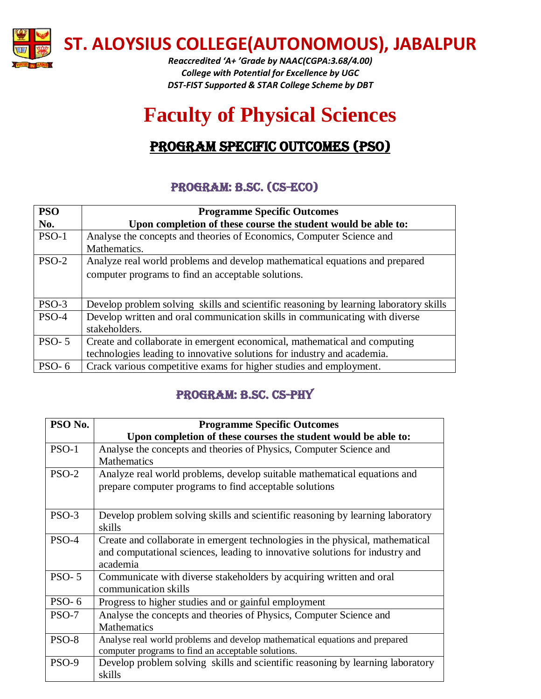

**ST. ALOYSIUS COLLEGE(AUTONOMOUS), JABALPUR**

*Reaccredited 'A+ 'Grade by NAAC(CGPA:3.68/4.00) College with Potential for Excellence by UGC DST-FIST Supported & STAR College Scheme by DBT*

# **Faculty of Physical Sciences**

## PROGRAM SPECIFIC OUTCOMES (PSO)

#### Program: B.Sc. (CS-ECO)

| <b>PSO</b> | <b>Programme Specific Outcomes</b>                                                    |
|------------|---------------------------------------------------------------------------------------|
| No.        | Upon completion of these course the student would be able to:                         |
| $PSO-1$    | Analyse the concepts and theories of Economics, Computer Science and                  |
|            | Mathematics.                                                                          |
| $PSO-2$    | Analyze real world problems and develop mathematical equations and prepared           |
|            | computer programs to find an acceptable solutions.                                    |
|            |                                                                                       |
| PSO-3      | Develop problem solving skills and scientific reasoning by learning laboratory skills |
| $PSO-4$    | Develop written and oral communication skills in communicating with diverse           |
|            | stakeholders.                                                                         |
| $PSO-5$    | Create and collaborate in emergent economical, mathematical and computing             |
|            | technologies leading to innovative solutions for industry and academia.               |
| $PSO-6$    | Crack various competitive exams for higher studies and employment.                    |

### Program: B.Sc. CS-PHY

| PSO No.  | <b>Programme Specific Outcomes</b>                                             |
|----------|--------------------------------------------------------------------------------|
|          | Upon completion of these courses the student would be able to:                 |
| $PSO-1$  | Analyse the concepts and theories of Physics, Computer Science and             |
|          | <b>Mathematics</b>                                                             |
| $PSO-2$  | Analyze real world problems, develop suitable mathematical equations and       |
|          | prepare computer programs to find acceptable solutions                         |
|          |                                                                                |
| $PSO-3$  | Develop problem solving skills and scientific reasoning by learning laboratory |
|          | skills                                                                         |
| PSO-4    | Create and collaborate in emergent technologies in the physical, mathematical  |
|          | and computational sciences, leading to innovative solutions for industry and   |
|          | academia                                                                       |
| $PSO-5$  | Communicate with diverse stakeholders by acquiring written and oral            |
|          | communication skills                                                           |
| PSO- $6$ | Progress to higher studies and or gainful employment                           |
| $PSO-7$  | Analyse the concepts and theories of Physics, Computer Science and             |
|          | Mathematics                                                                    |
| PSO-8    | Analyse real world problems and develop mathematical equations and prepared    |
|          | computer programs to find an acceptable solutions.                             |
| PSO-9    | Develop problem solving skills and scientific reasoning by learning laboratory |
|          | skills                                                                         |